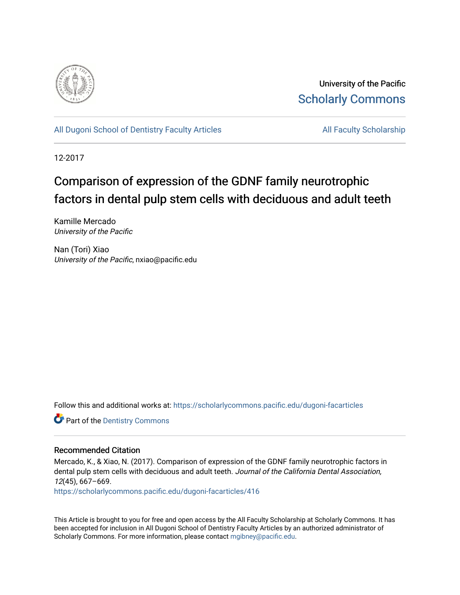

University of the Pacific [Scholarly Commons](https://scholarlycommons.pacific.edu/) 

[All Dugoni School of Dentistry Faculty Articles](https://scholarlycommons.pacific.edu/dugoni-facarticles) All Faculty Scholarship

12-2017

# Comparison of expression of the GDNF family neurotrophic factors in dental pulp stem cells with deciduous and adult teeth

Kamille Mercado University of the Pacific

Nan (Tori) Xiao University of the Pacific, nxiao@pacific.edu

Follow this and additional works at: [https://scholarlycommons.pacific.edu/dugoni-facarticles](https://scholarlycommons.pacific.edu/dugoni-facarticles?utm_source=scholarlycommons.pacific.edu%2Fdugoni-facarticles%2F416&utm_medium=PDF&utm_campaign=PDFCoverPages) 

**Part of the Dentistry Commons** 

# Recommended Citation

Mercado, K., & Xiao, N. (2017). Comparison of expression of the GDNF family neurotrophic factors in dental pulp stem cells with deciduous and adult teeth. Journal of the California Dental Association, 12(45), 667–669.

[https://scholarlycommons.pacific.edu/dugoni-facarticles/416](https://scholarlycommons.pacific.edu/dugoni-facarticles/416?utm_source=scholarlycommons.pacific.edu%2Fdugoni-facarticles%2F416&utm_medium=PDF&utm_campaign=PDFCoverPages) 

This Article is brought to you for free and open access by the All Faculty Scholarship at Scholarly Commons. It has been accepted for inclusion in All Dugoni School of Dentistry Faculty Articles by an authorized administrator of Scholarly Commons. For more information, please contact [mgibney@pacific.edu.](mailto:mgibney@pacific.edu)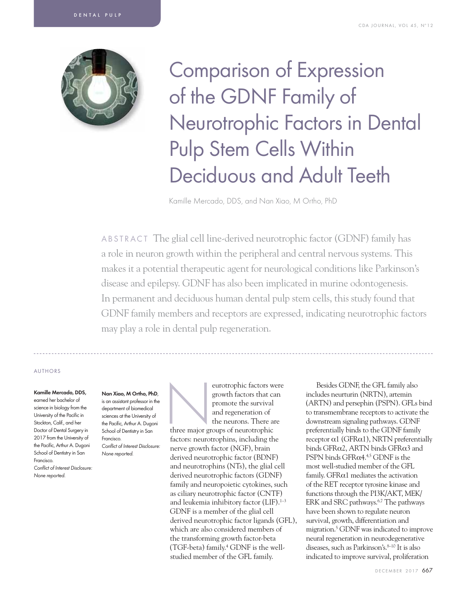

Comparison of Expression of the GDNF Family of Neurotrophic Factors in Dental Pulp Stem Cells Within Deciduous and Adult Teeth

Kamille Mercado, DDS, and Nan Xiao, M Ortho, PhD

ABSTRACT The glial cell line-derived neurotrophic factor (GDNF) family has a role in neuron growth within the peripheral and central nervous systems. This makes it a potential therapeutic agent for neurological conditions like Parkinson's disease and epilepsy. GDNF has also been implicated in murine odontogenesis. In permanent and deciduous human dental pulp stem cells, this study found that GDNF family members and receptors are expressed, indicating neurotrophic factors may play a role in dental pulp regeneration.

## AUTHORS

#### Kamille Mercado, DDS,

earned her bachelor of science in biology from the University of the Pacific in Stockton, Calif., and her Doctor of Dental Surgery in 2017 from the University of the Pacific, Arthur A. Dugoni School of Dentistry in San Francisco. Conflict of Interest Disclosure: None reported.

### Nan Xiao, M Ortho, PhD,

is an assistant professor in the department of biomedical sciences at the University of the Pacific, Arthur A. Dugoni School of Dentistry in San Francisco. Conflict of Interest Disclosure: None reported.

eurotrophic factors were<br>
growth factors that can<br>
promote the survival<br>
and regeneration of<br>
the neurons. There are<br>
three major groups of neurotrophic growth factors that can promote the survival and regeneration of the neurons. There are

factors: neurotrophins, including the nerve growth factor (NGF), brain derived neurotrophic factor (BDNF) and neurotrophins (NTs), the glial cell derived neurotrophic factors (GDNF) family and neuropoietic cytokines, such as ciliary neurotrophic factor (CNTF) and leukemia inhibitory factor  $(LIF).<sup>1-3</sup>$ GDNF is a member of the glial cell derived neurotrophic factor ligands (GFL), which are also considered members of the transforming growth factor-beta (TGF-beta) family.4 GDNF is the wellstudied member of the GFL family.

Besides GDNF, the GFL family also includes neurturin (NRTN), artemin (ARTN) and persephin (PSPN). GFLs bind to transmembrane receptors to activate the downstream signaling pathways. GDNF preferentially binds to the GDNF family receptor  $α1$  (GFR $α1$ ), NRTN preferentially binds GFRα2, ARTN binds GFRα3 and PSPN binds  $GFR\alpha4.45$  GDNF is the most well-studied member of the GFL family. GFRα1 mediates the activation of the RET receptor tyrosine kinase and functions through the PI3K/AKT, MEK/ ERK and SRC pathways.<sup>6,7</sup> The pathways have been shown to regulate neuron survival, growth, differentiation and migration.5 GDNF was indicated to improve neural regeneration in neurodegenerative diseases, such as Parkinson's.<sup>8-10</sup> It is also indicated to improve survival, proliferation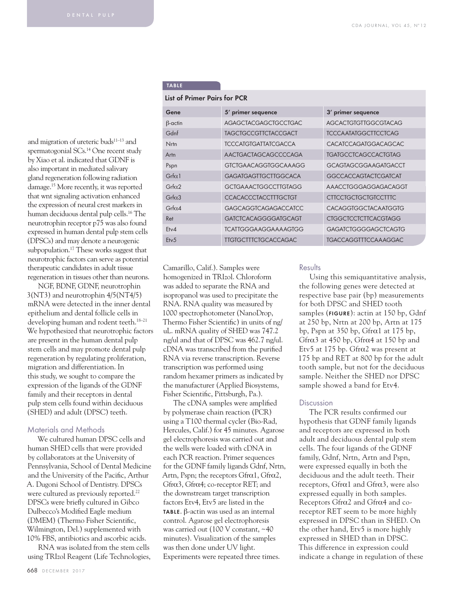TABLE

List of Primer Pairs for PCR

Gene 5' primer sequence 3' primer sequence

β-actin AGAGCTACGAGCTGCCTGAC AGCACTGTGTTGGCGTACAG Gdnf TAGCTGCCGTTCTACCGACT TCCCAATATGGCTTCCTCAG Nrtn TCCCATGTGATTATCGACCA CACATCCAGATGGACAGCAC Artn AACTGACTAGCAGCCCCAGA TGATGCCTCAGCCACTGTAG Pspn GTCTGAACAGGTGGCAAAGG GCAGTAGCGGAAGATGACCT Grfα1 GAGATGAGTTGCTTGGCACA GGCCACCAGTACTCGATCAT Grfα2 GCTGAAACTGGCCTTGTAGG AAACCTGGGAGGAGACAGGT Grfα3 CCACACCCTACCTTTGCTGT CTTCCTGCTGCTGTCCTTTC Grfα4 GAGCAGGTCAGAGACCATCC CACAGGTGGCTACAATGGTG Ret GATCTCACAGGGGATGCAGT CTGGCTCCTCTTCACGTAGG Etv4 TCATTGGGAAGGAAAAGTGG GAGATCTGGGGAGCTCAGTG Etv5 TTGTGCTTTCTGCACCAGAC TGACCAGGTTTCCAAAGGAC

## and migration of ureteric buds<sup>11-13</sup> and spermatogonial SCs.<sup>14</sup> One recent study by Xiao et al. indicated that GDNF is also important in mediated salivary gland regeneration following radiation damage.15 More recently, it was reported that wnt signaling activation enhanced the expression of neural crest markers in human deciduous dental pulp cells.16 The neurotrophin receptor p75 was also found expressed in human dental pulp stem cells (DPSCs) and may denote a neurogenic subpopulation.17 These works suggest that neurotrophic factors can serve as potential therapeutic candidates in adult tissue regeneration in tissues other than neurons.

NGF, BDNF, GDNF, neurotrophin 3(NT3) and neurotrophin 4/5(NT4/5) mRNA were detected in the inner dental epithelium and dental follicle cells in developing human and rodent teeth.<sup>18-21</sup> We hypothesized that neurotrophic factors are present in the human dental pulp stem cells and may promote dental pulp regeneration by regulating proliferation, migration and differentiation. In this study, we sought to compare the expression of the ligands of the GDNF family and their receptors in dental pulp stem cells found within deciduous (SHED) and adult (DPSC) teeth.

## Materials and Methods

We cultured human DPSC cells and human SHED cells that were provided by collaborators at the University of Pennsylvania, School of Dental Medicine and the University of the Pacific, Arthur A. Dugoni School of Dentistry. DPSCs were cultured as previously reported.<sup>22</sup> DPSCs were briefly cultured in Gibco Dulbecco's Modified Eagle medium (DMEM) (Thermo Fisher Scientific, Wilmington, Del.) supplemented with 10% FBS, antibiotics and ascorbic acids.

RNA was isolated from the stem cells using TRIzol Reagent (Life Technologies,

| Camarillo, Calif.). Samples were          |
|-------------------------------------------|
| homogenized in TRIzol. Chloroform         |
| was added to separate the RNA and         |
| isopropanol was used to precipitate the   |
| RNA. RNA quality was measured by          |
| 1000 spectrophotometer (NanoDrop,         |
| Thermo Fisher Scientific) in units of ng/ |
| uL. mRNA quality of SHED was 747.2        |
| ng/ul and that of DPSC was 462.7 ng/ul.   |
| cDNA was transcribed from the purified    |
| RNA via reverse transcription. Reverse    |
| transcription was performed using         |
| random hexamer primers as indicated by    |
| the manufacturer (Applied Biosystems,     |
| Fisher Scientific, Pittsburgh, Pa.).      |

The cDNA samples were amplified by polymerase chain reaction (PCR) using a T100 thermal cycler (Bio-Rad, Hercules, Calif.) for 45 minutes. Agarose gel electrophoresis was carried out and the wells were loaded with cDNA in each PCR reaction. Primer sequences for the GDNF family ligands Gdnf, Nrtn, Artn, Pspn; the receptors Gfrα1, Gfrα2, Gfrα3, Gfrα4; co-receptor RET; and the downstream target transcription factors Etv4, Etv5 are listed in the TABLE. β-actin was used as an internal control. Agarose gel electrophoresis was carried out (100 V constant, ~40 minutes). Visualization of the samples was then done under UV light. Experiments were repeated three times.

## **Results**

Using this semiquantitative analysis, the following genes were detected at respective base pair (bp) measurements for both DPSC and SHED tooth samples (FIGURE): actin at 150 bp, Gdnf at 250 bp, Nrtn at 200 bp, Artn at 175 bp, Pspn at 350 bp, Gfr $\alpha$ 1 at 175 bp, Gfr $\alpha$ 3 at 450 bp, Gfr $\alpha$ 4 at 150 bp and Etv5 at 175 bp. Gfrα2 was present at 175 bp and RET at 800 bp for the adult tooth sample, but not for the deciduous sample. Neither the SHED nor DPSC sample showed a band for Etv4.

## Discussion

The PCR results confirmed our hypothesis that GDNF family ligands and receptors are expressed in both adult and deciduous dental pulp stem cells. The four ligands of the GDNF family, Gdnf, Nrtn, Artn and Pspn, were expressed equally in both the deciduous and the adult teeth. Their receptors, Gfrα1 and Gfrα3, were also expressed equally in both samples. Receptors Gfrα2 and Gfrα4 and coreceptor RET seem to be more highly expressed in DPSC than in SHED. On the other hand, Etv5 is more highly expressed in SHED than in DPSC. This difference in expression could indicate a change in regulation of these